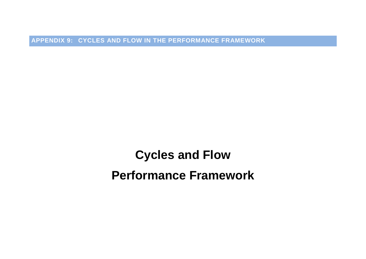**APPENDIX 9: CYCLES AND FLOW IN THE PERFORMANCE FRAMEWORK**

**Cycles and Flow Performance Framework**